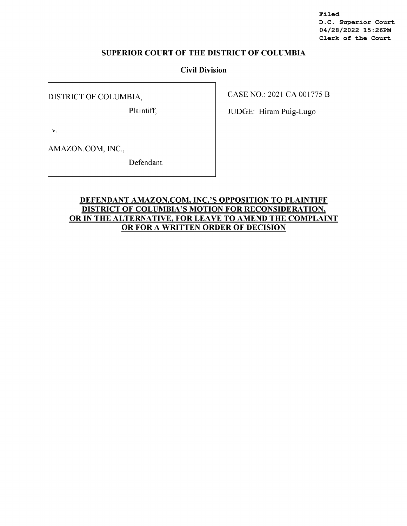**Filed D.C. Superior Court 04/28/2022 15:26PM Clerk of the Court** 

# **SUPERIOR COURT OF THE DISTRICT OF COLUMBIA**

### **Civil Division**

DISTRICT OF COLUMBIA,

Plaintiff,

CASE NO.: 2021 CA 001775 B

JUDGE: Hiram Puig-Lugo

V.

AMAZON.COM, INC.,

Defendant.

# **DEFENDANT AMAZON.COM, INC.'S OPPOSITION TO PLAINTIFF DISTRICT OF COLUMBIA'S MOTION FOR RECONSIDERATION, OR IN THE ALTERNATIVE, FOR LEA VE TO AMEND THE COMPLAINT OR FOR A WRITTEN ORDER OF DECISION**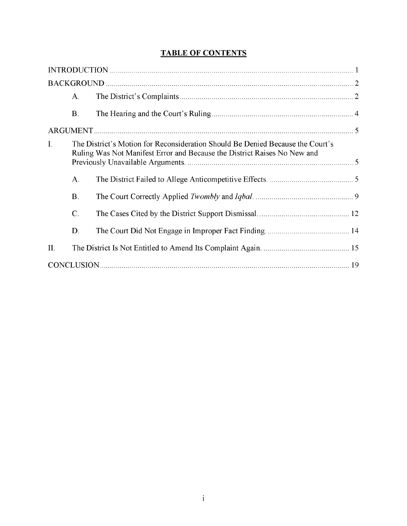# **TABLE OF CONTENTS**

|                | $A_{\cdot}$    |                                                                                                                                                            |  |
|----------------|----------------|------------------------------------------------------------------------------------------------------------------------------------------------------------|--|
|                | $\mathbf{B}$ . |                                                                                                                                                            |  |
|                |                |                                                                                                                                                            |  |
| $\mathbf{I}$ . |                | The District's Motion for Reconsideration Should Be Denied Because the Court's<br>Ruling Was Not Manifest Error and Because the District Raises No New and |  |
|                | $\mathbf{A}$ . |                                                                                                                                                            |  |
|                | B.             |                                                                                                                                                            |  |
|                | $\mathbf{C}$   |                                                                                                                                                            |  |
|                | D.             |                                                                                                                                                            |  |
| $\prod$        |                |                                                                                                                                                            |  |
|                |                |                                                                                                                                                            |  |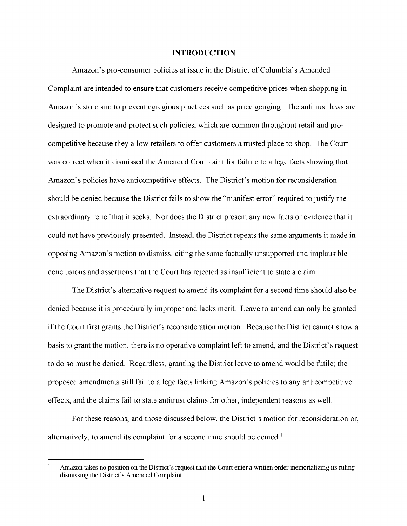#### **INTRODUCTION**

Amazon's pro-consumer policies at issue in the District of Columbia's Amended Complaint are intended to ensure that customers receive competitive prices when shopping in Amazon's store and to prevent egregious practices such as price gouging. The antitrust laws are designed to promote and protect such policies, which are common throughout retail and procompetitive because they allow retailers to offer customers a trusted place to shop. The Court was correct when it dismissed the Amended Complaint for failure to allege facts showing that Amazon's policies have anticompetitive effects. The District's motion for reconsideration should be denied because the District fails to show the "manifest error" required to justify the extraordinary relief that it seeks. Nor does the District present any new facts or evidence that it could not have previously presented. Instead, the District repeats the same arguments it made in opposing Amazon's motion to dismiss, citing the same factually unsupported and implausible conclusions and assertions that the Court has rejected as insufficient to state a claim.

The District's alternative request to amend its complaint for a second time should also be denied because it is procedurally improper and lacks merit. Leave to amend can only be granted if the Court first grants the District's reconsideration motion. Because the District cannot show a basis to grant the motion, there is no operative complaint left to amend, and the District's request to do so must be denied. Regardless, granting the District leave to amend would be futile; the proposed amendments still fail to allege facts linking Amazon's policies to any anticompetitive effects, and the claims fail to state antitrust claims for other, independent reasons as well.

For these reasons, and those discussed below, the District's motion for reconsideration or, alternatively, to amend its complaint for a second time should be denied.<sup>1</sup>

Amazon takes no position on the District's request that the Court enter a written order memorializing its ruling dismissing the District's Amended Complaint.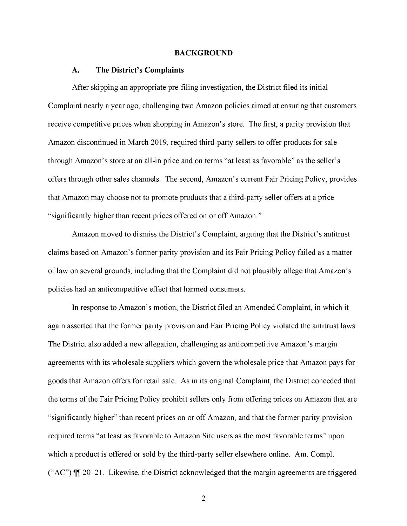#### **BACKGROUND**

#### **A. The District's Complaints**

After skipping an appropriate pre-filing investigation, the District filed its initial Complaint nearly a year ago, challenging two Amazon policies aimed at ensuring that customers receive competitive prices when shopping in Amazon's store. The first, a parity provision that Amazon discontinued in March 2019, required third-party sellers to offer products for sale through Amazon's store at an all-in price and on terms "at least as favorable" as the seller's offers through other sales channels. The second, Amazon's current Fair Pricing Policy, provides that Amazon may choose not to promote products that a third-party seller offers at a price "significantly higher than recent prices offered on or off Amazon."

Amazon moved to dismiss the District's Complaint, arguing that the District's antitrust claims based on Amazon's former parity provision and its Fair Pricing Policy failed as a matter of law on several grounds, including that the Complaint did not plausibly allege that Amazon's policies had an anticompetitive effect that harmed consumers.

In response to Amazon's motion, the District filed an Amended Complaint, in which it again asserted that the former parity provision and Fair Pricing Policy violated the antitrust laws. The District also added a new allegation, challenging as anticompetitive Amazon's margin agreements with its wholesale suppliers which govern the wholesale price that Amazon pays for goods that Amazon offers for retail sale. As in its original Complaint, the District conceded that the terms of the Fair Pricing Policy prohibit sellers only from offering prices on Amazon that are "significantly higher" than recent prices on or off Amazon, and that the former parity provision required terms "at least as favorable to Amazon Site users as the most favorable terms" upon which a product is offered or sold by the third-party seller elsewhere online. Am. Compl. ("AC")  $\mathbb{I}$  20–21. Likewise, the District acknowledged that the margin agreements are triggered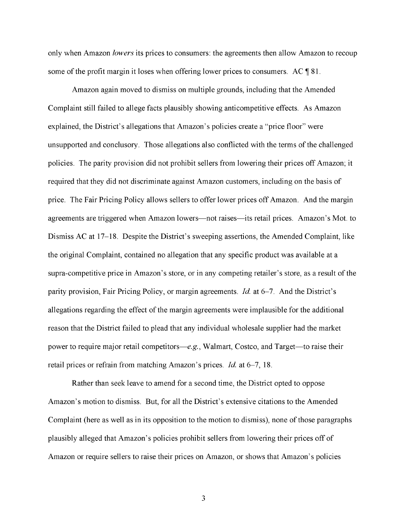only when Amazon *lowers* its prices to consumers: the agreements then allow Amazon to recoup some of the profit margin it loses when offering lower prices to consumers. AC  $\parallel$  81.

Amazon again moved to dismiss on multiple grounds, including that the Amended Complaint still failed to allege facts plausibly showing anticompetitive effects. As Amazon explained, the District's allegations that Amazon's policies create a "price floor" were unsupported and conclusory. Those allegations also conflicted with the terms of the challenged policies. The parity provision did not prohibit sellers from lowering their prices off Amazon; it required that they did not discriminate against Amazon customers, including on the basis of price. The Fair Pricing Policy allows sellers to offer lower prices off Amazon. And the margin agreements are triggered when Amazon lowers—not raises—its retail prices. Amazon's Mot. to Dismiss AC at 17-18. Despite the District's sweeping assertions, the Amended Complaint, like the original Complaint, contained no allegation that any specific product was available at a supra-competitive price in Amazon's store, or in any competing retailer's store, as a result of the parity provision, Fair Pricing Policy, or margin agreements. *Id* at 6-7. And the District's allegations regarding the effect of the margin agreements were implausible for the additional reason that the District failed to plead that any individual wholesale supplier had the market power to require major retail competitors-e.g., Walmart, Costco, and Target-to raise their retail prices or refrain from matching Amazon's prices. *Id* at 6-7, 18.

Rather than seek leave to amend for a second time, the District opted to oppose Amazon's motion to dismiss. But, for all the District's extensive citations to the Amended Complaint (here as well as in its opposition to the motion to dismiss), none of those paragraphs plausibly alleged that Amazon's policies prohibit sellers from lowering their prices off of Amazon or require sellers to raise their prices on Amazon, or shows that Amazon's policies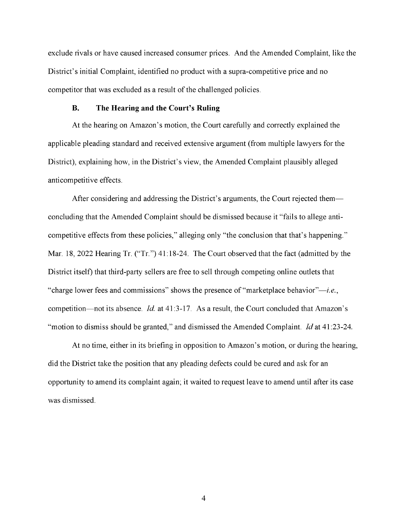exclude rivals or have caused increased consumer prices. And the Amended Complaint, like the District's initial Complaint, identified no product with a supra-competitive price and no competitor that was excluded as a result of the challenged policies.

### **B. The Hearing and the Court's Ruling**

At the hearing on Amazon's motion, the Court carefully and correctly explained the applicable pleading standard and received extensive argument (from multiple lawyers for the District), explaining how, in the District's view, the Amended Complaint plausibly alleged anticompetitive effects.

After considering and addressing the District's arguments, the Court rejected them concluding that the Amended Complaint should be dismissed because it "fails to allege anticompetitive effects from these policies," alleging only "the conclusion that that's happening." Mar. 18, 2022 Hearing Tr. ("Tr.") 41:18-24. The Court observed that the fact (admitted by the District itself) that third-party sellers are free to sell through competing online outlets that "charge lower fees and commissions" shows the presence of "marketplace behavior"-i.e., competition—not its absence. *Id.* at 41:3-17. As a result, the Court concluded that Amazon's "motion to dismiss should be granted," and dismissed the Amended Complaint. *Id* at 41 :23-24.

At no time, either in its briefing in opposition to Amazon's motion, or during the hearing, did the District take the position that any pleading defects could be cured and ask for an opportunity to amend its complaint again; it waited to request leave to amend until after its case was dismissed.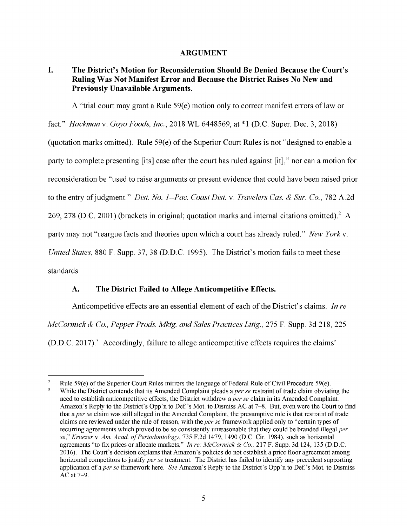### **ARGUMENT**

## **I. The District's Motion for Reconsideration Should Be Denied Because the Court's Ruling Was Not Manifest Error and Because the District Raises No New and Previously Unavailable Arguments.**

A "trial court may grant a Rule  $59(e)$  motion only to correct manifest errors of law or

fact." *Hackman* v. *Goya Foods, Inc.,* 2018 WL 6448569, at \*l (D.C. Super. Dec. 3, 2018)

(quotation marks omitted). Rule 59(e) of the Superior Court Rules is not "designed to enable a

party to complete presenting [its] case after the court has ruled against [it]," nor can a motion for

reconsideration be "used to raise arguments or present evidence that could have been raised prior

to the entry of judgment." *Dist. No. 1--Pac. Coast Dist.* v. *Travelers Cas. & Sur. Co.,* 782 A.2d

269, 278 (D.C. 2001) (brackets in original; quotation marks and internal citations omitted).<sup>2</sup> A

party may not "reargue facts and theories upon which a court has already ruled." *New Yorkv.* 

*United States,* 880 F. Supp. 37, 38 (D.D.C. 1995). The District's motion fails to meet these

standards.

# **A. The District Failed to Allege Anticompetitive Effects.**

Anticompetitive effects are an essential element of each of the District's claims. *In re McCormick & Co., Pepper Prods. Mktg. and Sales Practices Litig.,* 275 F. Supp. 3d 218,225  $(D.D.C. 2017)<sup>3</sup>$  Accordingly, failure to allege anticompetitive effects requires the claims'

 $\sqrt{2}$ Rule 59(e) of the Superior Court Rules mirrors the language of Federal Rule of Civil Procedure 59(e).  $\overline{3}$ While the District contends that its Amended Complaint pleads a *per se* restraint of trade claim obviating the need to establish anticompetitive effects, the District withdrew a *per se* claim in its Amended Complaint. Amazon's Reply to the District's Opp'n to Def.'s Mot. to Dismiss AC at 7-8. But, even were the Court to find that a *per se* claim was still alleged in the Amended Complaint, the presumptive rule is that restraint of trade claims are reviewed under the rule of reason, with the *per se* framework applied only to "certain types of recurring agreements which proved to be so consistently unreasonable that they could be branded illegal *per se," Kruezer* v. *Am. Acad. of Periodontology,* 735 F.2d 1479, 1490 (D.C. Cir. 1984), such as horizontal agreements "to fix prices or allocate markets." *In re: McCormick & Co.,* 217 F. Supp. 3d 124, 135 (D.D.C. 2016). The Court's decision explains that Amazon's policies do not establish a price floor agreement among horizontal competitors to justify *per se* treatment. The District has failed to identify any precedent supporting application of *aper se* framework here. *See* Amazon's Reply to the District's Opp'n to Def.'s Mot. to Dismiss AC at 7-9.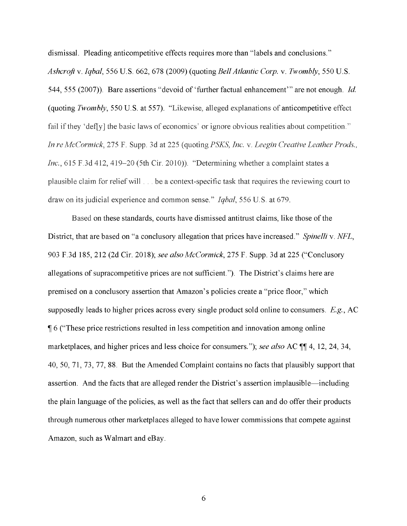dismissal. Pleading anticompetitive effects requires more than "labels and conclusions." *Ashcroft* v. *Iqbal,* 556 U.S. 662, 678 (2009) (quoting *Bell Atlantic Corp.* v. *Twombly,* 550 U.S. 544, 555 (2007)). Bare assertions "devoid of 'further factual enhancement"' are not enough. *Id*  (quoting *Twombly,* 550 U.S. at 557). "Likewise, alleged explanations of anticompetitive effect fail if they 'defly] the basic laws of economics' or ignore obvious realities about competition." *In re McCormick, 275 F.* Supp. 3d at 225 (quoting PSKS, *Inc. v. Leegin Creative Leather Prods., Inc.,* 615 F.3d 412, 419-20 (5th Cir. 2010)). "Determining whether a complaint states a plausible claim for relief will . . be a context-specific task that requires the reviewing court to draw on its judicial experience and common sense." *Igbal*, 556 U.S. at 679.

Based on these standards, courts have dismissed antitrust claims, like those of the District, that are based on "a conclusory allegation that prices have increased." *Spinelli* v. *NFL,*  903 F.3d 185, 212 (2d Cir. 2018); *see also McCormick,* 275 F. Supp. 3d at 225 ("Conclusory allegations of supracompetitive prices are not sufficient."). The District's claims here are premised on a conclusory assertion that Amazon's policies create a "price floor," which supposedly leads to higher prices across every single product sold online to consumers. E.g., AC **16** ("These price restrictions resulted in less competition and innovation among online marketplaces, and higher prices and less choice for consumers."); *see also* AC  $\P\P$  4, 12, 24, 34, 40, 50, 71, 73, 77, 88. But the Amended Complaint contains no facts that plausibly support that assertion. And the facts that are alleged render the District's assertion implausible—including the plain language of the policies, as well as the fact that sellers can and do offer their products through numerous other marketplaces alleged to have lower commissions that compete against Amazon, such as Walmart and eBay.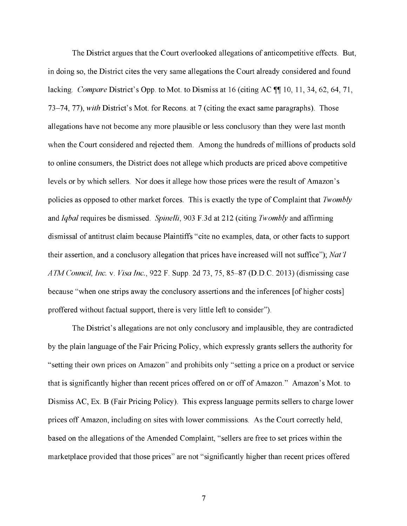The District argues that the Court overlooked allegations of anticompetitive effects. But, in doing so, the District cites the very same allegations the Court already considered and found lacking. *Compare District's Opp.* to Mot. to Dismiss at 16 (citing AC  $\P$  10, 11, 34, 62, 64, 71, 73-74, 77), *with* District's Mot. for Recons. at 7 (citing the exact same paragraphs). Those allegations have not become any more plausible or less conclusory than they were last month when the Court considered and rejected them. Among the hundreds of millions of products sold to online consumers, the District does not allege which products are priced above competitive levels or by which sellers. Nor does it allege how those prices were the result of Amazon's policies as opposed to other market forces. This is exactly the type of Complaint that *Twombly*  and *Iqbal* requires be dismissed. *Spinelli,* 903 F.3d at 212 (citing *Twombly* and affirming dismissal of antitrust claim because Plaintiffs "cite no examples, data, or other facts to support their assertion, and a conclusory allegation that prices have increased will not suffice"); *Nat 'l ATM Council, Inc.* v. *Visa Inc.,* 922 F. Supp. 2d 73, 75, 85-87 (D.D.C. 2013) (dismissing case because "when one strips away the conclusory assertions and the inferences [of higher costs] proffered without factual support, there is very little left to consider").

The District's allegations are not only conclusory and implausible, they are contradicted by the plain language of the Fair Pricing Policy, which expressly grants sellers the authority for "setting their own prices on Amazon" and prohibits only "setting a price on a product or service that is significantly higher than recent prices offered on or off of Amazon." Amazon's Mot. to Dismiss AC, Ex. B (Fair Pricing Policy). This express language permits sellers to charge lower prices off Amazon, including on sites with lower commissions. As the Court correctly held, based on the allegations of the Amended Complaint, "sellers are free to set prices within the marketplace provided that those prices" are not "significantly higher than recent prices offered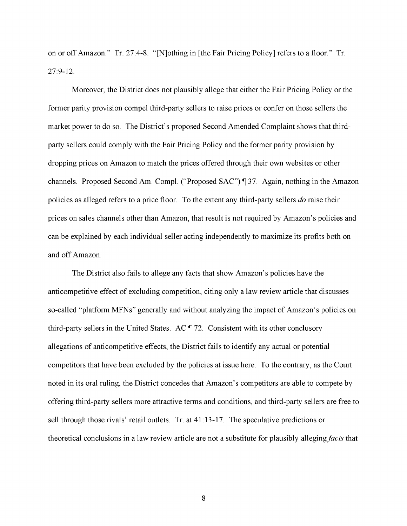on or off Amazon." Tr. 27:4-8. "[N]othing in [the Fair Pricing Policy] refers to a floor." Tr. 27:9-12.

Moreover, the District does not plausibly allege that either the Fair Pricing Policy or the former parity provision compel third-party sellers to raise prices or confer on those sellers the market power to do so. The District's proposed Second Amended Complaint shows that thirdparty sellers could comply with the Fair Pricing Policy and the former parity provision by dropping prices on Amazon to match the prices offered through their own websites or other channels. Proposed Second Am. Compl. ("Proposed SAC") ¶ 37. Again, nothing in the Amazon policies as alleged refers to a price floor. To the extent any third-party sellers *do* raise their prices on sales channels other than Amazon, that result is not required by Amazon's policies and can be explained by each individual seller acting independently to maximize its profits both on and off Amazon.

The District also fails to allege any facts that show Amazon's policies have the anticompetitive effect of excluding competition, citing only a law review article that discusses so-called "platform MFNs" generally and without analyzing the impact of Amazon's policies on third-party sellers in the United States. AC ¶ 72. Consistent with its other conclusory allegations of anticompetitive effects, the District fails to identify any actual or potential competitors that have been excluded by the policies at issue here. To the contrary, as the Court noted in its oral ruling, the District concedes that Amazon's competitors are able to compete by offering third-party sellers more attractive terms and conditions, and third-party sellers are free to sell through those rivals' retail outlets. Tr. at 41: 13-17. The speculative predictions or theoretical conclusions in a law review article are not a substitute for plausibly alleging *facts* that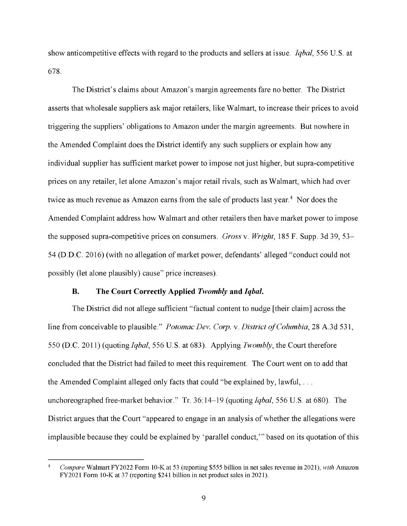show anticompetitive effects with regard to the products and sellers at issue. *Iqbal,* 556 U.S. at 678.

The District's claims about Amazon's margin agreements fare no better. The District asserts that wholesale suppliers ask major retailers, like Walmart, to increase their prices to avoid triggering the suppliers' obligations to Amazon under the margin agreements. But nowhere in the Amended Complaint does the District identify any such suppliers or explain how any individual supplier has sufficient market power to impose not just higher, but supra-competitive prices on any retailer, let alone Amazon's major retail rivals, such as Walmart, which had over twice as much revenue as Amazon earns from the sale of products last year.<sup>4</sup> Nor does the Amended Complaint address how Walmart and other retailers then have market power to impose the supposed supra-competitive prices on consumers. *Gross* v. *Wright,* 185 F. Supp. 3d 39, 53- 54 (D.D.C. 2016) (with no allegation of market power, defendants' alleged "conduct could not possibly (let alone plausibly) cause" price increases).

### **B. The Court Correctly Applied** *Twombly* **and** *Iqbal.*

The District did not allege sufficient "factual content to nudge [their claim] across the line from conceivable to plausible." *Potomac Dev. Corp.* v. *District of Columbia,* 28 A.3d 531, 550 (D.C. 2011) (quoting *Iqbal,* 556 U.S. at 683). Applying *Twombly,* the Court therefore concluded that the District had failed to meet this requirement. The Court went on to add that the Amended Complaint alleged only facts that could "be explained by, lawful, ... unchoreographed free-market behavior." Tr. 36: 14-19 (quoting *Iqbal,* 556 U.S. at 680). The District argues that the Court "appeared to engage in an analysis of whether the allegations were implausible because they could be explained by 'parallel conduct,"' based on its quotation of this

*Compare* Walmart FY2022 Form 10-K at 53 (reporting \$555 billion in net sales revenue in 2021), *with* Amazon FY2021 Form 10-K at 37 (reporting \$241 billion in net product sales in 2021).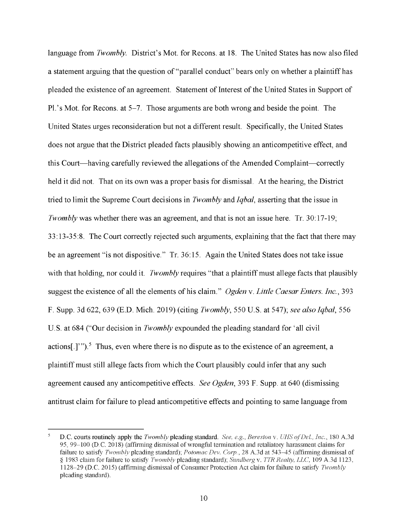language from *Twombly.* District's Mot. for Recons. at 18. The United States has now also filed a statement arguing that the question of "parallel conduct" bears only on whether a plaintiff has pleaded the existence of an agreement. Statement of Interest of the United States in Support of Pl.'s Mot. for Recons. at 5–7. Those arguments are both wrong and beside the point. The United States urges reconsideration but not a different result. Specifically, the United States does not argue that the District pleaded facts plausibly showing an anticompetitive effect, and this Court-having carefully reviewed the allegations of the Amended Complaint-correctly held it did not. That on its own was a proper basis for dismissal. At the hearing, the District tried to limit the Supreme Court decisions in *Twombly* and *Iqbal,* asserting that the issue in *Twombly* was whether there was an agreement, and that is not an issue here. Tr. 30:17-19; 33: 13-35:8. The Court correctly rejected such arguments, explaining that the fact that there may be an agreement "is not dispositive." Tr. 36:15. Again the United States does not take issue with that holding, nor could it. *Twombly* requires "that a plaintiff must allege facts that plausibly suggest the existence of all the elements of his claim." *Ogden* v. *Little Caesar Enters. Inc.,* 393 F. Supp. 3d 622, 639 (E.D. Mich. 2019) (citing *Twombly,* 550 U.S. at 547); *see also Iqbal,* 556 U.S. at 684 ("Our decision in *Twombly* expounded the pleading standard for 'all civil actions<sup>[1]</sup>. <sup>5</sup> Thus, even where there is no dispute as to the existence of an agreement, a plaintiff must still allege facts from which the Court plausibly could infer that any such agreement caused any anticompetitive effects. *See Ogden,* 393 F. Supp. at 640 (dismissing antitrust claim for failure to plead anticompetitive effects and pointing to same language from

D.C. courts routinely apply the *Twombly* pleading standard. *See, e.g. Bereston* v. *UHS cf Del., Jnc.,* 180 A.3d 95, 99--100 (D.C. 2018) (affirming dismissal of wrongful termination and retaliatory harassment claims for failure to satisfy *Twombly* pleading standard); *Potomac Dev. Corp.*, 28 A.3d at 543-45 (affirming dismissal of § 1983 claim for failure to satis1} *Twombly* pleading standard); *Sundberg* v. *TTR Realty, LLC,* 109 A.3d l 123, 1128-29 (D.C. 2015) (affirming dismissal of Consumer Protection Act claim for failure to satisfy *Twombly*  pleading standard).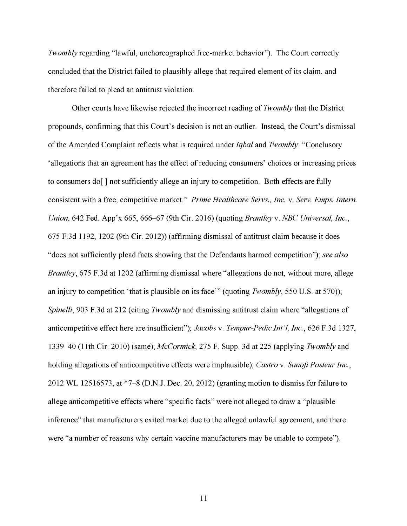*Twombly* regarding "lawful, unchoreographed free-market behavior"). The Court correctly concluded that the District failed to plausibly allege that required element of its claim, and therefore failed to plead an antitrust violation.

Other courts have likewise rejected the incorrect reading of *Twombly* that the District propounds, confirming that this Court's decision is not an outlier. Instead, the Court's dismissal of the Amended Complaint reflects what is required under *Iqbal* and *Twombly:* "Conclusory 'allegations that an agreement has the effect ofreducing consumers' choices or increasing prices to consumers do[ ] not sufficiently allege an injury to competition. Both effects are fully consistent with a free, competitive market." *Prime Healthcare Servs., Inc.* v. *Serv. Emps. Intern. Union,* 642 Fed. App'x 665, 666-67 (9th Cir. 2016) (quoting *Brantley* v. *NBC Universal, Inc.,*  675 F.3d 1192, 1202 (9th Cir. 2012)) (affirming dismissal of antitrust claim because it does "does not sufficiently plead facts showing that the Defendants harmed competition"); *see also Brantley,* 675 F.3d at 1202 (affirming dismissal where "allegations do not, without more, allege an injury to competition 'that is plausible on its face"' (quoting *Twombly,* 550 U.S. at 570)); *Spinelli,* 903 F.3d at 212 (citing *Twombly* and dismissing antitrust claim where "allegations of anticompetitive effect here are insufficient"); *Jacobs* v. *Tempur-Pedic Int'l, Inc.,* 626 F.3d 1327, 1339-40 (11th Cir. 2010) (same); *McCormick,* 275 F. Supp. 3d at 225 (applying *Twombly* and holding allegations of anticompetitive effects were implausible); *Castro* v. *Sanofi Pasteur Inc.,*  2012 WL 12516573, at \*7-8 (D.N.J. Dec. 20, 2012) (granting motion to dismiss for failure to allege anticompetitive effects where "specific facts" were not alleged to draw a "plausible inference" that manufacturers exited market due to the alleged unlawful agreement, and there were "a number of reasons why certain vaccine manufacturers may be unable to compete").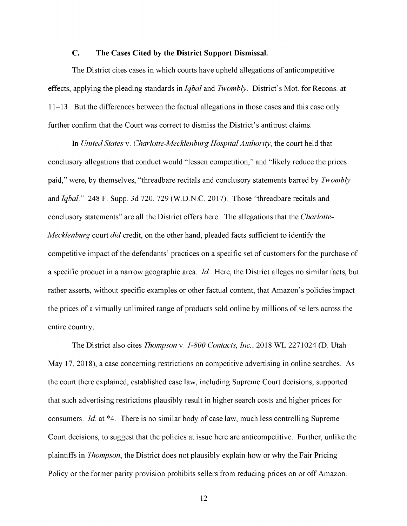### **C. The Cases Cited by the District Support Dismissal.**

The District cites cases in which courts have upheld allegations of anticompetitive effects, applying the pleading standards in *Iqbal* and *Twombly.* District's Mot. for Recons. at 11-13. But the differences between the factual allegations in those cases and this case only further confirm that the Court was correct to dismiss the District's antitrust claims.

In *United States* v. *Charlotte-Mecklenburg Hospital Authority,* the court held that conclusory allegations that conduct would "lessen competition," and "likely reduce the prices paid," were, by themselves, "threadbare recitals and conclusory statements barred by *Twombly*  and *Iqbal."* 248 F. Supp. 3d 720, 729 (W.D.N.C. 2017). Those "threadbare recitals and conclusory statements" are all the District offers here. The allegations that the *Charlotte-Mecklenburg* court *did* credit, on the other hand, pleaded facts sufficient to identify the competitive impact of the defendants' practices on a specific set of customers for the purchase of a specific product in a narrow geographic area. *Id*. Here, the District alleges no similar facts, but rather asserts, without specific examples or other factual content, that Amazon's policies impact the prices of a virtually unlimited range of products sold online by millions of sellers across the entire country.

The District also cites *Thompson* v. *1-800 Contacts, Inc.,* 2018 WL 2271024 **(D.** Utah May 17, 2018), a case concerning restrictions on competitive advertising in online searches. As the court there explained, established case law, including Supreme Court decisions, supported that such advertising restrictions plausibly result in higher search costs and higher prices for consumers. *Id.* at \*4. There is no similar body of case law, much less controlling Supreme Court decisions, to suggest that the policies at issue here are anticompetitive. Further, unlike the plaintiffs in *Thompson,* the District does not plausibly explain how or why the Fair Pricing Policy or the former parity provision prohibits sellers from reducing prices on or off Amazon.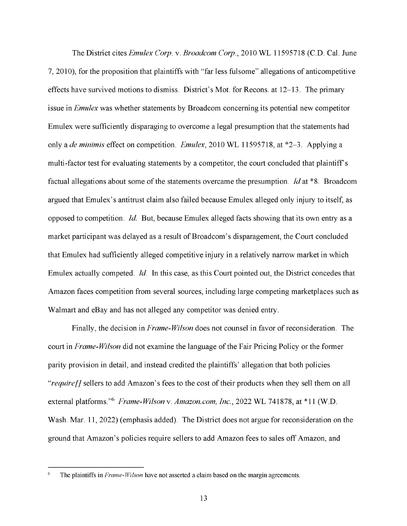The District cites *Emulex Corp.* v. *Broadcom Corp.,* 2010 WL 11595718 (C.D. Cal. June 7, 2010), for the proposition that plaintiffs with "far less fulsome" allegations of anticompetitive effects have survived motions to dismiss. District's Mot. for Recons. at 12-13. The primary issue in *Emulex* was whether statements by Broadcom concerning its potential new competitor Emulex were sufficiently disparaging to overcome a legal presumption that the statements had only a *de minimis* effect on competition. *Emulex,* 2010 WL 11595718, at \*2-3. Applying a multi-factor test for evaluating statements by a competitor, the court concluded that plaintiff's factual allegations about some of the statements overcame the presumption. *Id* at \*8. Broadcom argued that Emulex' s antitrust claim also failed because Emulex alleged only injury to itself, as opposed to competition. *Id.* But, because Emulex alleged facts showing that its own entry as a market participant was delayed as a result of Broadcom's disparagement, the Court concluded that Emulex had sufficiently alleged competitive injury in a relatively narrow market in which Emulex actually competed. *Id.* In this case, as this Court pointed out, the District concedes that Amazon faces competition from several sources, including large competing marketplaces such as Walmart and eBay and has not alleged any competitor was denied entry.

Finally, the decision in *Frame-Wilson* does not counsel in favor of reconsideration. The court in *Frame-Wilson* did not examine the language of the Fair Pricing Policy or the former parity provision in detail, and instead credited the plaintiffs' allegation that both policies *"require[}* sellers to add Amazon's fees to the cost of their products when they sell them on all external platforms."<sup>6</sup> Frame-Wilson v. Amazon.com, Inc., 2022 WL 741878, at \*11 (W.D. Wash. Mar. 11, 2022) (emphasis added). The District does not argue for reconsideration on the ground that Amazon's policies require sellers to add Amazon fees to sales off Amazon, and

**The plaintiffs in** *Frame-Wilson* **have not asserted a claim based on the margin agreements.**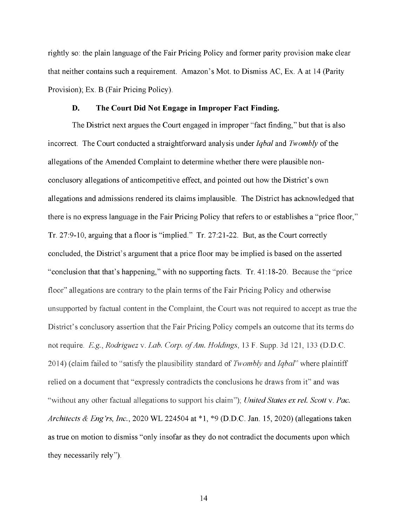rightly so: the plain language of the Fair Pricing Policy and former parity provision make clear that neither contains such a requirement. Amazon's Mot. to Dismiss AC, Ex. A at 14 (Parity Provision); Ex. B (Fair Pricing Policy).

### **D. The Court Did Not Engage in Improper Fact Finding.**

The District next argues the Court engaged in improper "fact finding," but that is also incorrect. The Court conducted a straightforward analysis under *Iqbal* and *Twombly* of the allegations of the Amended Complaint to determine whether there were plausible nonconclusory allegations of anticompetitive effect, and pointed out how the District's own allegations and admissions rendered its claims implausible. The District has acknowledged that there is no express language in the Fair Pricing Policy that refers to or establishes a "price floor," Tr. 27:9-10, arguing that a floor is "implied." Tr. 27:21-22. But, as the Court correctly concluded, the District's argument that a price floor may be implied is based on the asserted "conclusion that that's happening," with no supporting facts. Tr. 41:18-20. Because the ''price floor" allegations are contrary to the plain terms of the Fair Pricing Policy and otherwise unsupported by factual content in the Complaint, the Court was not required to accept as true the District's conclusory assertion that the Fair Pricing Policy compels an outcome that its terms do not require. *E.g., Rodriguez* v. *Lab. Corp. ofAm. Holdings,* 13 F. Supp. 3d 121, 133 (D.D.C. 2014) (claim failed to "satisfy the plausibility standard of *Twombly* and *Iqbal*" where plaintiff relied on a document that "expressly contradicts the conclusions he draws from if' and was "without any other factual allegations to support his claim"); *United States ex rel. Scott v. Pac. Architects & Eng'rs, Inc.,* 2020 WL 224504 at \*l, \*9 (D.D.C. Jan. 15, 2020) (allegations taken as true on motion to dismiss "only insofar as they do not contradict the documents upon which they necessarily rely").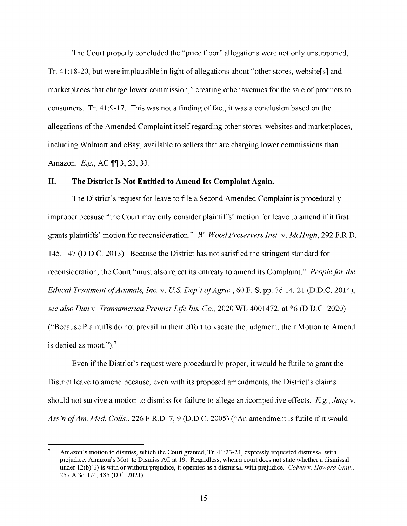The Court properly concluded the "price floor" allegations were not only unsupported, Tr. 41: 18-20, but were implausible in light of allegations about "other stores, website[s] and marketplaces that charge lower commission," creating other avenues for the sale of products to consumers. Tr. 41:9-17. This was not a finding of fact, it was a conclusion based on the allegations of the Amended Complaint itself regarding other stores, websites and marketplaces, including Walmart and eBay, available to sellers that are charging lower commissions than Amazon. E.g., AC  $\P$ [ 3, 23, 33.

#### **II. The District Is Not Entitled to Amend Its Complaint Again.**

The District's request for leave to file a Second Amended Complaint is procedurally improper because "the Court may only consider plaintiffs' motion for leave to amend if it first grants plaintiffs' motion for reconsideration." *W Wood Preservers Inst.* v. *McHugh,* 292 F.R.D. 145, 147 (D.D.C. 2013). Because the District has not satisfied the stringent standard for reconsideration, the Court "must also reject its entreaty to amend its Complaint." *People for the Ethical Treatment of Animals, Inc.* v. *US. Dep 't of Agric.,* 60 F. Supp. 3d 14, 21 (D.D.C. 2014); *see also Dun* v. *Transamerica Premier Life Ins. Co.,* 2020 WL 4001472, at \*6 (D.D.C. 2020) ("Because Plaintiffs do not prevail in their effort to vacate the judgment, their Motion to Amend is denied as moot."). <sup>7</sup>

Even if the District's request were procedurally proper, it would be futile to grant the District leave to amend because, even with its proposed amendments, the District's claims should not survive a motion to dismiss for failure to allege anticompetitive effects. E.g., *Jung* v. *Ass 'n of Am. Med Calls.,* 226 F.R.D. 7, 9 (D.D.C. 2005) ("An amendment is futile if it would

Amazon's motion to dismiss, which the Court granted, Tr. 41:23-24, expressly requested dismissal with prejudice. Amazon's Mot. to Dismiss AC at 19. Regardless, when a court does not state whether a dismissal under 12(b)(6) is with or without prejudice, it operates as a dismissal with prejudice. *Colvin v. Howard Univ.*, 257 A.3d 474, 485 (D.C. 2021).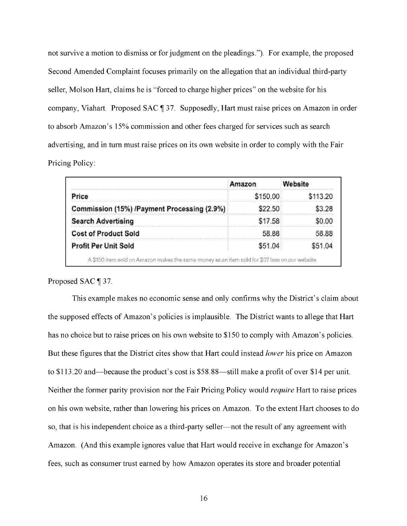not survive a motion to dismiss or for judgment on the pleadings."). For example, the proposed Second Amended Complaint focuses primarily on the allegation that an individual third-party seller, Molson Hart, claims he is "forced to charge higher prices" on the website for his company, Viahart. Proposed SAC ¶ 37. Supposedly, Hart must raise prices on Amazon in order to absorb Amazon's 15% commission and other fees charged for services such as search advertising, and in turn must raise prices on its own website in order to comply with the Fair Pricing Policy:

|                                             | Amazon   |          |
|---------------------------------------------|----------|----------|
| Price                                       | \$150.00 | \$113.20 |
| Commission (15%) /Payment Processing (2.9%) | \$22.50. | \$3.28   |
| <b>Search Advertising</b>                   | \$17.58  | SO 00    |
| <b>Cost of Product Sold</b>                 | 58.88.   | 58 88    |
| <b>Profit Per Unit Sold</b>                 | \$51.04  | \$51.04  |

### Proposed SAC ¶ 37.

This example makes no economic sense and only confirms why the District's claim about the supposed effects of Amazon's policies is implausible. The District wants to allege that Hart has no choice but to raise prices on his own website to \$150 to comply with Amazon's policies. But these figures that the District cites show that Hart could instead *lower* his price on Amazon to  $$113.20$  and—because the product's cost is  $$58.88$ —still make a profit of over  $$14$  per unit. Neither the former parity provision nor the Fair Pricing Policy would *require* Hart to raise prices on his own website, rather than lowering his prices on Amazon. To the extent Hart chooses to do so, that is his independent choice as a third-party seller—not the result of any agreement with Amazon. (And this example ignores value that Hart would receive in exchange for Amazon's fees, such as consumer trust earned by how Amazon operates its store and broader potential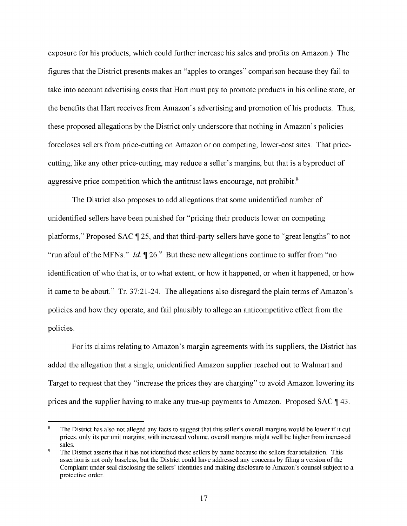exposure for his products, which could further increase his sales and profits on Amazon.) The figures that the District presents makes an "apples to oranges" comparison because they fail to take into account advertising costs that Hart must pay to promote products in his online store, or the benefits that Hart receives from Amazon's advertising and promotion of his products. Thus, these proposed allegations by the District only underscore that nothing in Amazon's policies forecloses sellers from price-cutting on Amazon or on competing, lower-cost sites. That pricecutting, like any other price-cutting, may reduce a seller's margins, but that is a byproduct of aggressive price competition which the antitrust laws encourage, not prohibit.<sup>8</sup>

The District also proposes to add allegations that some unidentified number of unidentified sellers have been punished for "pricing their products lower on competing platforms," Proposed SAC  $\parallel$  25, and that third-party sellers have gone to "great lengths" to not "run afoul of the MFNs." *Id.*  $\P$  26.  $\degree$  But these new allegations continue to suffer from "no" identification of who that is, or to what extent, or how it happened, or when it happened, or how it came to be about." Tr. 37:21-24. The allegations also disregard the plain terms of Amazon's policies and how they operate, and fail plausibly to allege an anticompetitive effect from the policies.

For its claims relating to Amazon's margin agreements with its suppliers, the District has added the allegation that a single, unidentified Amazon supplier reached out to Walmart and Target to request that they "increase the prices they are charging" to avoid Amazon lowering its prices and the supplier having to make any true-up payments to Amazon. Proposed SAC 143.

 $\bf 8$ The District has also not alleged any facts to suggest that this seller's overall margins would be lower if it cut prices, only its per unit margins; with increased volume, overall margins might well be higher from increased sales.

 $\overline{9}$ The District asserts that it has not identified these sellers by name because the sellers fear retaliation. This assertion is not only baseless, but the District could have addressed any concerns by filing a version of the Complaint under seal disclosing the sellers' identities and making disclosure to Amazon's counsel subject to a protective order.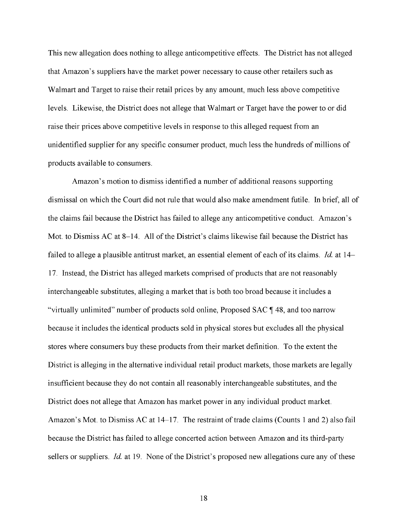This new allegation does nothing to allege anticompetitive effects. The District has not alleged that Amazon's suppliers have the market power necessary to cause other retailers such as Walmart and Target to raise their retail prices by any amount, much less above competitive levels. Likewise, the District does not allege that Walmart or Target have the power to or did raise their prices above competitive levels in response to this alleged request from an unidentified supplier for any specific consumer product, much less the hundreds of millions of products available to consumers.

Amazon's motion to dismiss identified a number of additional reasons supporting dismissal on which the Court did not rule that would also make amendment futile. In brief, all of the claims fail because the District has failed to allege any anticompetitive conduct. Amazon's Mot. to Dismiss AC at 8-14. All of the District's claims likewise fail because the District has failed to allege a plausible antitrust market, an essential element of each of its claims. *Id* at 14- 17. Instead, the District has alleged markets comprised of products that are not reasonably interchangeable substitutes, alleging a market that is both too broad because it includes a "virtually unlimited" number of products sold online, Proposed SAC  $\parallel$  48, and too narrow because it includes the identical products sold in physical stores but excludes all the physical stores where consumers buy these products from their market definition. To the extent the District is alleging in the alternative individual retail product markets, those markets are legally insufficient because they do not contain all reasonably interchangeable substitutes, and the District does not allege that Amazon has market power in any individual product market. Amazon's Mot. to Dismiss AC at  $14-17$ . The restraint of trade claims (Counts 1 and 2) also fail because the District has failed to allege concerted action between Amazon and its third-party sellers or suppliers. *Id.* at 19. None of the District's proposed new allegations cure any of these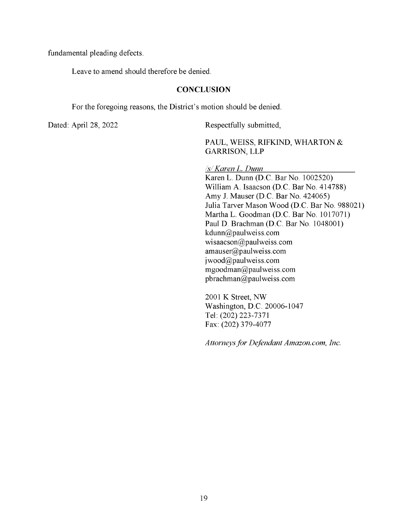fundamental pleading defects.

Leave to amend should therefore be denied.

### **CONCLUSION**

For the foregoing reasons, the District's motion should be denied.

Dated: April 28, 2022 Respectfully submitted,

PAUL, WEISS, RIFKIND, WHARTON & GARRISON, LLP

*Isl Karen L. Dunn* 

KarenL. Dunn (D.C. Bar No. 1002520) William A. Isaacson (D.C. Bar No. 414788) Amy J. Mauser (D.C. Bar No. 424065) Julia Tarver Mason Wood (D.C. Bar No. 988021) Martha L. Goodman (D.C. Bar No. 1017071) Paul D. Brachman (D.C. Bar No. 1048001) kdunn@paulweiss.com wisaacson@paulweiss.com amauser@paulweiss.com jwood@paulweiss.com mgoodman@paulweiss.com pbrachman@paulweiss.com

2001 **K** Street, NW Washington, **D.C.** 20006-1047 Tel: (202) 223-7371 Fax: (202) 379-4077

*Attorneys for Defendant Amazon.com, Inc.*